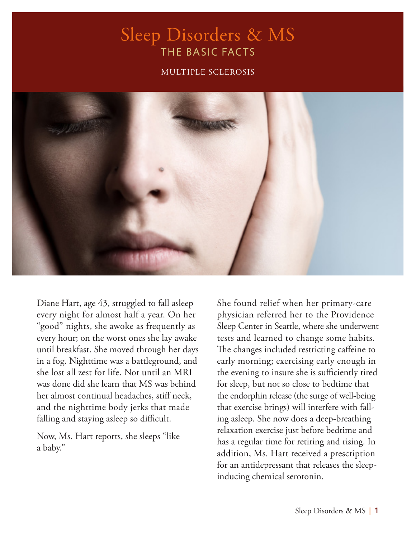## Sleep Disorders & MS THE BASIC FACTS

#### MULTIPLE SCLEROSIS



Diane Hart, age 43, struggled to fall asleep every night for almost half a year. On her "good" nights, she awoke as frequently as every hour; on the worst ones she lay awake until breakfast. She moved through her days in a fog. Nighttime was a battleground, and she lost all zest for life. Not until an MRI was done did she learn that MS was behind her almost continual headaches, stiff neck, and the nighttime body jerks that made falling and staying asleep so difficult.

Now, Ms. Hart reports, she sleeps "like a baby."

She found relief when her primary-care physician referred her to the Providence Sleep Center in Seattle, where she underwent tests and learned to change some habits. The changes included restricting caffeine to early morning; exercising early enough in the evening to insure she is sufficiently tired for sleep, but not so close to bedtime that the endorphin release (the surge of well-being that exercise brings) will interfere with falling asleep. She now does a deep-breathing relaxation exercise just before bedtime and has a regular time for retiring and rising. In addition, Ms. Hart received a prescription for an antidepressant that releases the sleepinducing chemical serotonin.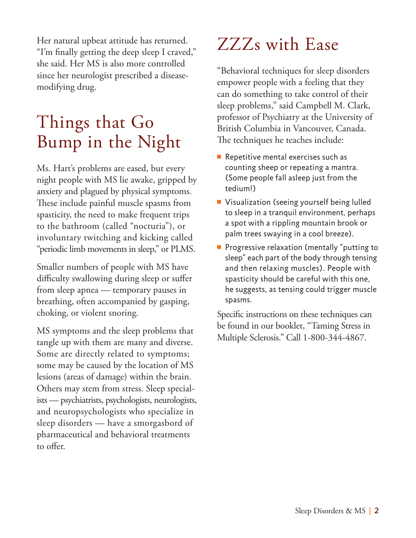Her natural upbeat attitude has returned. "I'm finally getting the deep sleep I craved," she said. Her MS is also more controlled since her neurologist prescribed a diseasemodifying drug.

## Things that Go Bump in the Night

Ms. Hart's problems are eased, but every night people with MS lie awake, gripped by anxiety and plagued by physical symptoms. These include painful muscle spasms from spasticity, the need to make frequent trips to the bathroom (called "nocturia"), or involuntary twitching and kicking called "periodic limb movements in sleep," or PLMS.

Smaller numbers of people with MS have difficulty swallowing during sleep or suffer from sleep apnea — temporary pauses in breathing, often accompanied by gasping, choking, or violent snoring.

MS symptoms and the sleep problems that tangle up with them are many and diverse. Some are directly related to symptoms; some may be caused by the location of MS lesions (areas of damage) within the brain. Others may stem from stress. Sleep specialists — psychiatrists, psychologists, neurologists, and neuropsychologists who specialize in sleep disorders — have a smorgasbord of pharmaceutical and behavioral treatments to offer.

## ZZZs with Ease

"Behavioral techniques for sleep disorders empower people with a feeling that they can do something to take control of their sleep problems," said Campbell M. Clark, professor of Psychiatry at the University of British Columbia in Vancouver, Canada. The techniques he teaches include:

- $\blacksquare$  Repetitive mental exercises such as counting sheep or repeating a mantra. (Some people fall asleep just from the tedium!)
- $\blacksquare$  Visualization (seeing yourself being lulled to sleep in a tranquil environment, perhaps a spot with a rippling mountain brook or palm trees swaying in a cool breeze).
- $\blacksquare$  Progressive relaxation (mentally "putting to sleep" each part of the body through tensing and then relaxing muscles). People with spasticity should be careful with this one, he suggests, as tensing could trigger muscle spasms.

Specific instructions on these techniques can be found in our booklet, "Taming Stress in Multiple Sclerosis." Call 1-800-344-4867.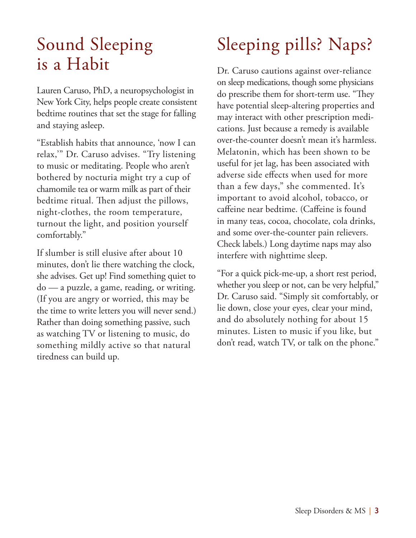## Sound Sleeping is a Habit

Lauren Caruso, PhD, a neuropsychologist in New York City, helps people create consistent bedtime routines that set the stage for falling and staying asleep.

"Establish habits that announce, 'now I can relax,'" Dr. Caruso advises. "Try listening to music or meditating. People who aren't bothered by nocturia might try a cup of chamomile tea or warm milk as part of their bedtime ritual. Then adjust the pillows, night-clothes, the room temperature, turnout the light, and position yourself comfortably."

If slumber is still elusive after about 10 minutes, don't lie there watching the clock, she advises. Get up! Find something quiet to do — a puzzle, a game, reading, or writing. (If you are angry or worried, this may be the time to write letters you will never send.) Rather than doing something passive, such as watching TV or listening to music, do something mildly active so that natural tiredness can build up.

# Sleeping pills? Naps?

Dr. Caruso cautions against over-reliance on sleep medications, though some physicians do prescribe them for short-term use. "They have potential sleep-altering properties and may interact with other prescription medications. Just because a remedy is available over-the-counter doesn't mean it's harmless. Melatonin, which has been shown to be useful for jet lag, has been associated with adverse side effects when used for more than a few days," she commented. It's important to avoid alcohol, tobacco, or caffeine near bedtime. (Caffeine is found in many teas, cocoa, chocolate, cola drinks, and some over-the-counter pain relievers. Check labels.) Long daytime naps may also interfere with nighttime sleep.

"For a quick pick-me-up, a short rest period, whether you sleep or not, can be very helpful," Dr. Caruso said. "Simply sit comfortably, or lie down, close your eyes, clear your mind, and do absolutely nothing for about 15 minutes. Listen to music if you like, but don't read, watch TV, or talk on the phone."